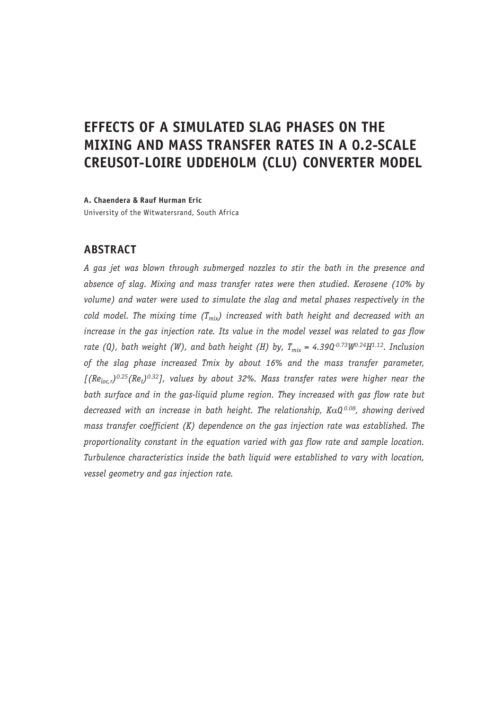# **EFFECTS OF A SIMULATED SLAG PHASES ON THE MIXING AND MASS TRANSFER RATES IN A 0.2-SCALE CREUSOT-LOIRE UDDEHOLM (CLU) CONVERTER MODEL**

**A. Chaendera & Rauf Hurman Eric**

University of the Witwatersrand, South Africa

# **ABSTRACT**

*A gas jet was blown through submerged nozzles to stir the bath in the presence and absence of slag. Mixing and mass transfer rates were then studied. Kerosene (10% by volume) and water were used to simulate the slag and metal phases respectively in the cold model. The mixing time*  $(T_{mix})$  *increased with bath height and decreased with an increase in the gas injection rate. Its value in the model vessel was related to gas flow rate (Q), bath weight (W), and bath height (H) by,*  $T_{mix} = 4.39Q^{-0.73}W^{0.24}H^{1.12}$ *<i>. Inclusion of the slag phase increased Tmix by about 16% and the mass transfer parameter,*   $[(Re<sub>loc.7</sub>)^{0.25}(Re<sub>t</sub>)^{0.32}]$ , values by about 32%. Mass transfer rates were higher near the *bath surface and in the gas-liquid plume region. They increased with gas flow rate but decreased with an increase in bath height. The relationship, K*α*Q 0.08, showing derived mass transfer coefficient (K) dependence on the gas injection rate was established. The proportionality constant in the equation varied with gas flow rate and sample location. Turbulence characteristics inside the bath liquid were established to vary with location, vessel geometry and gas injection rate.*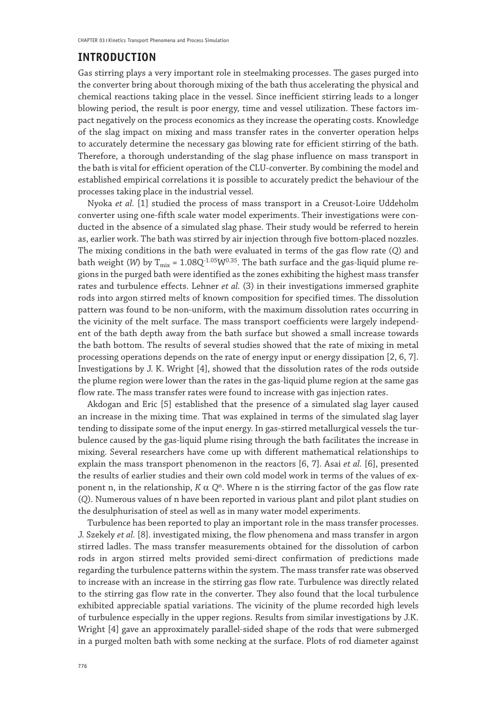## **INTRODUCTION**

Gas stirring plays a very important role in steelmaking processes. The gases purged into the converter bring about thorough mixing of the bath thus accelerating the physical and chemical reactions taking place in the vessel. Since inefficient stirring leads to a longer blowing period, the result is poor energy, time and vessel utilization. These factors impact negatively on the process economics as they increase the operating costs. Knowledge of the slag impact on mixing and mass transfer rates in the converter operation helps to accurately determine the necessary gas blowing rate for efficient stirring of the bath. Therefore, a thorough understanding of the slag phase influence on mass transport in the bath is vital for efficient operation of the CLU-converter. By combining the model and established empirical correlations it is possible to accurately predict the behaviour of the processes taking place in the industrial vessel.

Nyoka *et al.* [1] studied the process of mass transport in a Creusot-Loire Uddeholm converter using one-fifth scale water model experiments. Their investigations were conducted in the absence of a simulated slag phase. Their study would be referred to herein as, earlier work. The bath was stirred by air injection through five bottom-placed nozzles. The mixing conditions in the bath were evaluated in terms of the gas flow rate (*Q*) and bath weight (*W*) by  $T_{mix} = 1.08Q^{-1.05}W^{0.35}$ . The bath surface and the gas-liquid plume regions in the purged bath were identified as the zones exhibiting the highest mass transfer rates and turbulence effects. Lehner *et al.* (3) in their investigations immersed graphite rods into argon stirred melts of known composition for specified times. The dissolution pattern was found to be non-uniform, with the maximum dissolution rates occurring in the vicinity of the melt surface. The mass transport coefficients were largely independent of the bath depth away from the bath surface but showed a small increase towards the bath bottom. The results of several studies showed that the rate of mixing in metal processing operations depends on the rate of energy input or energy dissipation [2, 6, 7]. Investigations by J. K. Wright [4], showed that the dissolution rates of the rods outside the plume region were lower than the rates in the gas-liquid plume region at the same gas flow rate. The mass transfer rates were found to increase with gas injection rates.

Akdogan and Eric [5] established that the presence of a simulated slag layer caused an increase in the mixing time. That was explained in terms of the simulated slag layer tending to dissipate some of the input energy. In gas-stirred metallurgical vessels the turbulence caused by the gas-liquid plume rising through the bath facilitates the increase in mixing. Several researchers have come up with different mathematical relationships to explain the mass transport phenomenon in the reactors [6, 7]. Asai *et al.* [6], presented the results of earlier studies and their own cold model work in terms of the values of exponent n, in the relationship,  $K \alpha Q^n$ . Where n is the stirring factor of the gas flow rate (*Q*). Numerous values of n have been reported in various plant and pilot plant studies on the desulphurisation of steel as well as in many water model experiments.

Turbulence has been reported to play an important role in the mass transfer processes. J. Szekely *et al.* [8]. investigated mixing, the flow phenomena and mass transfer in argon stirred ladles. The mass transfer measurements obtained for the dissolution of carbon rods in argon stirred melts provided semi-direct confirmation of predictions made regarding the turbulence patterns within the system. The mass transfer rate was observed to increase with an increase in the stirring gas flow rate. Turbulence was directly related to the stirring gas flow rate in the converter. They also found that the local turbulence exhibited appreciable spatial variations. The vicinity of the plume recorded high levels of turbulence especially in the upper regions. Results from similar investigations by J.K. Wright [4] gave an approximately parallel-sided shape of the rods that were submerged in a purged molten bath with some necking at the surface. Plots of rod diameter against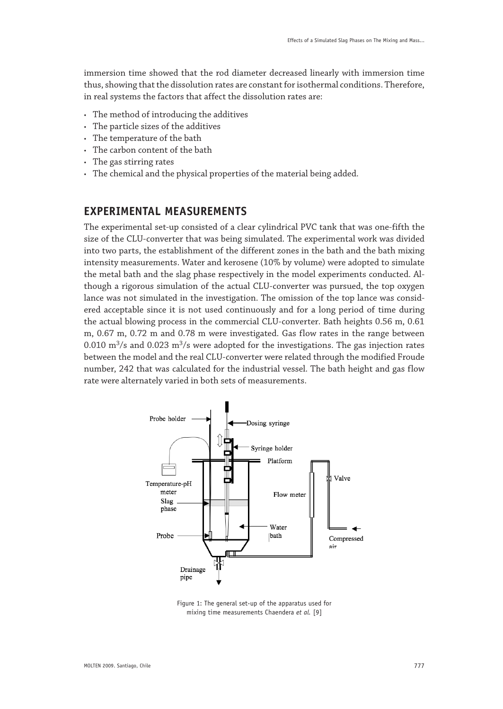immersion time showed that the rod diameter decreased linearly with immersion time thus, showing that the dissolution rates are constant for isothermal conditions. Therefore, in real systems the factors that affect the dissolution rates are:

- • The method of introducing the additives
- • The particle sizes of the additives
- • The temperature of the bath
- • The carbon content of the bath
- • The gas stirring rates
- The chemical and the physical properties of the material being added.

## **EXPERIMENTAL MEASUREMENTS**

The experimental set-up consisted of a clear cylindrical PVC tank that was one-fifth the size of the CLU-converter that was being simulated. The experimental work was divided into two parts, the establishment of the different zones in the bath and the bath mixing intensity measurements. Water and kerosene (10% by volume) were adopted to simulate the metal bath and the slag phase respectively in the model experiments conducted. Although a rigorous simulation of the actual CLU-converter was pursued, the top oxygen lance was not simulated in the investigation. The omission of the top lance was considered acceptable since it is not used continuously and for a long period of time during the actual blowing process in the commercial CLU-converter. Bath heights 0.56 m, 0.61 m, 0.67 m, 0.72 m and 0.78 m were investigated. Gas flow rates in the range between  $0.010 \text{ m}^3/\text{s}$  and  $0.023 \text{ m}^3/\text{s}$  were adopted for the investigations. The gas injection rates between the model and the real CLU-converter were related through the modified Froude number, 242 that was calculated for the industrial vessel. The bath height and gas flow rate were alternately varied in both sets of measurements.



Figure 1: The general set-up of the apparatus used for mixing time measurements Chaendera *et al.* [9]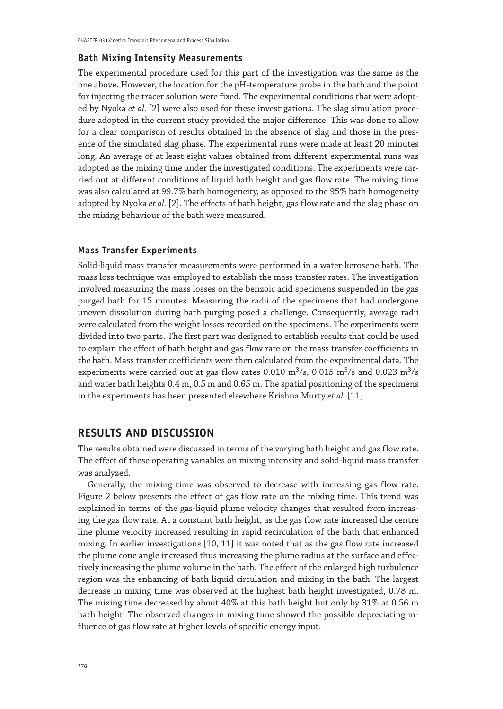#### **Bath Mixing Intensity Measurements**

The experimental procedure used for this part of the investigation was the same as the one above. However, the location for the pH-temperature probe in the bath and the point for injecting the tracer solution were fixed. The experimental conditions that were adopted by Nyoka *et al.* [2] were also used for these investigations. The slag simulation procedure adopted in the current study provided the major difference. This was done to allow for a clear comparison of results obtained in the absence of slag and those in the presence of the simulated slag phase. The experimental runs were made at least 20 minutes long. An average of at least eight values obtained from different experimental runs was adopted as the mixing time under the investigated conditions. The experiments were carried out at different conditions of liquid bath height and gas flow rate. The mixing time was also calculated at 99.7% bath homogeneity, as opposed to the 95% bath homogeneity adopted by Nyoka *et al.* [2]. The effects of bath height, gas flow rate and the slag phase on the mixing behaviour of the bath were measured.

#### **Mass Transfer Experiments**

Solid-liquid mass transfer measurements were performed in a water-kerosene bath. The mass loss technique was employed to establish the mass transfer rates. The investigation involved measuring the mass losses on the benzoic acid specimens suspended in the gas purged bath for 15 minutes. Measuring the radii of the specimens that had undergone uneven dissolution during bath purging posed a challenge. Consequently, average radii were calculated from the weight losses recorded on the specimens. The experiments were divided into two parts. The first part was designed to establish results that could be used to explain the effect of bath height and gas flow rate on the mass transfer coefficients in the bath. Mass transfer coefficients were then calculated from the experimental data. The experiments were carried out at gas flow rates 0.010  $\text{m}^3\text{/s}$ , 0.015  $\text{m}^3\text{/s}$  and 0.023  $\text{m}^3\text{/s}$ and water bath heights 0.4 m, 0.5 m and 0.65 m. The spatial positioning of the specimens in the experiments has been presented elsewhere Krishna Murty *et al.* [11].

## **RESULTS AND DISCUSSION**

The results obtained were discussed in terms of the varying bath height and gas flow rate. The effect of these operating variables on mixing intensity and solid-liquid mass transfer was analyzed.

Generally, the mixing time was observed to decrease with increasing gas flow rate. Figure 2 below presents the effect of gas flow rate on the mixing time. This trend was explained in terms of the gas-liquid plume velocity changes that resulted from increasing the gas flow rate. At a constant bath height, as the gas flow rate increased the centre line plume velocity increased resulting in rapid recirculation of the bath that enhanced mixing. In earlier investigations [10, 11] it was noted that as the gas flow rate increased the plume cone angle increased thus increasing the plume radius at the surface and effectively increasing the plume volume in the bath. The effect of the enlarged high turbulence region was the enhancing of bath liquid circulation and mixing in the bath. The largest decrease in mixing time was observed at the highest bath height investigated, 0.78 m. The mixing time decreased by about 40% at this bath height but only by 31% at 0.56 m bath height. The observed changes in mixing time showed the possible depreciating influence of gas flow rate at higher levels of specific energy input.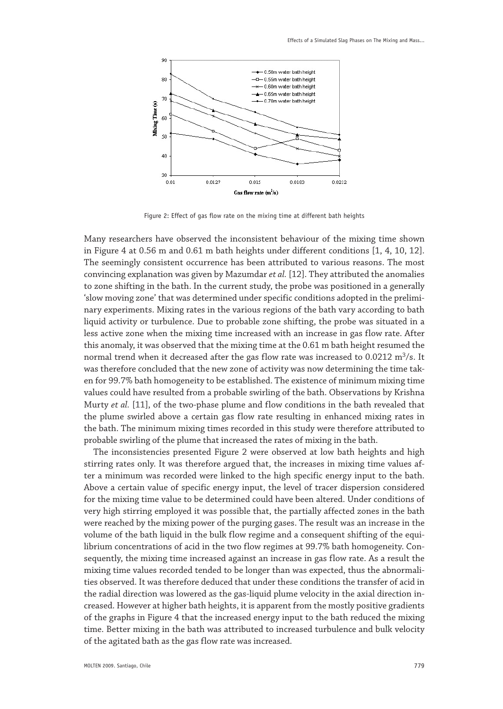

Figure 2: Effect of gas flow rate on the mixing time at different bath heights

Many researchers have observed the inconsistent behaviour of the mixing time shown in Figure 4 at 0.56 m and 0.61 m bath heights under different conditions [1, 4, 10, 12]. The seemingly consistent occurrence has been attributed to various reasons. The most convincing explanation was given by Mazumdar *et al.* [12]. They attributed the anomalies to zone shifting in the bath. In the current study, the probe was positioned in a generally 'slow moving zone' that was determined under specific conditions adopted in the preliminary experiments. Mixing rates in the various regions of the bath vary according to bath liquid activity or turbulence. Due to probable zone shifting, the probe was situated in a less active zone when the mixing time increased with an increase in gas flow rate. After this anomaly, it was observed that the mixing time at the 0.61 m bath height resumed the normal trend when it decreased after the gas flow rate was increased to  $0.0212 \text{ m}^3/\text{s}$ . It was therefore concluded that the new zone of activity was now determining the time taken for 99.7% bath homogeneity to be established. The existence of minimum mixing time values could have resulted from a probable swirling of the bath. Observations by Krishna Murty *et al.* [11], of the two-phase plume and flow conditions in the bath revealed that the plume swirled above a certain gas flow rate resulting in enhanced mixing rates in the bath. The minimum mixing times recorded in this study were therefore attributed to probable swirling of the plume that increased the rates of mixing in the bath.

The inconsistencies presented Figure 2 were observed at low bath heights and high stirring rates only. It was therefore argued that, the increases in mixing time values after a minimum was recorded were linked to the high specific energy input to the bath. Above a certain value of specific energy input, the level of tracer dispersion considered for the mixing time value to be determined could have been altered. Under conditions of very high stirring employed it was possible that, the partially affected zones in the bath were reached by the mixing power of the purging gases. The result was an increase in the volume of the bath liquid in the bulk flow regime and a consequent shifting of the equilibrium concentrations of acid in the two flow regimes at 99.7% bath homogeneity. Consequently, the mixing time increased against an increase in gas flow rate. As a result the mixing time values recorded tended to be longer than was expected, thus the abnormalities observed. It was therefore deduced that under these conditions the transfer of acid in the radial direction was lowered as the gas-liquid plume velocity in the axial direction increased. However at higher bath heights, it is apparent from the mostly positive gradients of the graphs in Figure 4 that the increased energy input to the bath reduced the mixing time. Better mixing in the bath was attributed to increased turbulence and bulk velocity of the agitated bath as the gas flow rate was increased.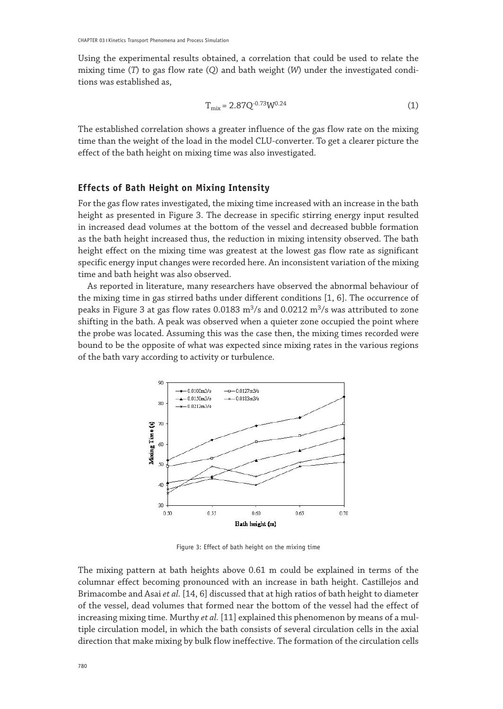Using the experimental results obtained, a correlation that could be used to relate the mixing time (*T*) to gas flow rate (*Q*) and bath weight (*W*) under the investigated conditions was established as,

$$
T_{\text{mix}} = 2.87 Q^{-0.73} W^{0.24}
$$
 (1)

The established correlation shows a greater influence of the gas flow rate on the mixing time than the weight of the load in the model CLU-converter. To get a clearer picture the effect of the bath height on mixing time was also investigated.

#### **Effects of Bath Height on Mixing Intensity**

For the gas flow rates investigated, the mixing time increased with an increase in the bath height as presented in Figure 3. The decrease in specific stirring energy input resulted in increased dead volumes at the bottom of the vessel and decreased bubble formation as the bath height increased thus, the reduction in mixing intensity observed. The bath height effect on the mixing time was greatest at the lowest gas flow rate as significant specific energy input changes were recorded here. An inconsistent variation of the mixing time and bath height was also observed.

As reported in literature, many researchers have observed the abnormal behaviour of the mixing time in gas stirred baths under different conditions [1, 6]. The occurrence of peaks in Figure 3 at gas flow rates 0.0183  $m^3/s$  and 0.0212  $m^3/s$  was attributed to zone shifting in the bath. A peak was observed when a quieter zone occupied the point where the probe was located. Assuming this was the case then, the mixing times recorded were bound to be the opposite of what was expected since mixing rates in the various regions of the bath vary according to activity or turbulence.



Figure 3: Effect of bath height on the mixing time

The mixing pattern at bath heights above 0.61 m could be explained in terms of the columnar effect becoming pronounced with an increase in bath height. Castillejos and Brimacombe and Asai *et al.* [14, 6] discussed that at high ratios of bath height to diameter of the vessel, dead volumes that formed near the bottom of the vessel had the effect of increasing mixing time. Murthy *et al.* [11] explained this phenomenon by means of a multiple circulation model, in which the bath consists of several circulation cells in the axial direction that make mixing by bulk flow ineffective. The formation of the circulation cells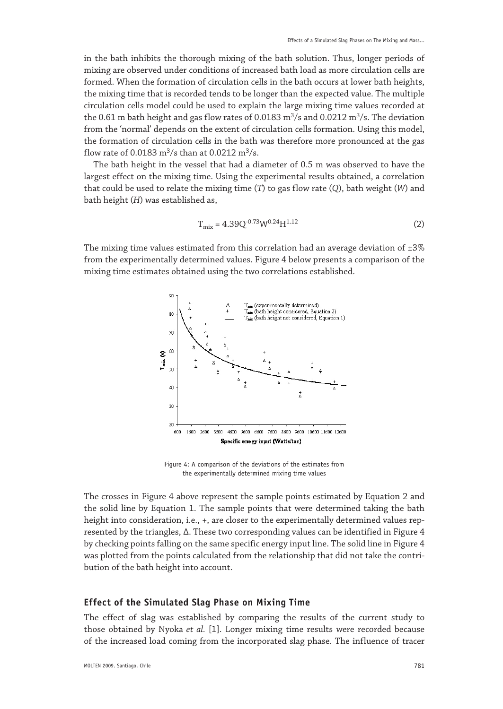in the bath inhibits the thorough mixing of the bath solution. Thus, longer periods of mixing are observed under conditions of increased bath load as more circulation cells are formed. When the formation of circulation cells in the bath occurs at lower bath heights, the mixing time that is recorded tends to be longer than the expected value. The multiple circulation cells model could be used to explain the large mixing time values recorded at the 0.61 m bath height and gas flow rates of 0.0183 m<sup>3</sup>/s and 0.0212 m<sup>3</sup>/s. The deviation from the 'normal' depends on the extent of circulation cells formation. Using this model, the formation of circulation cells in the bath was therefore more pronounced at the gas flow rate of 0.0183  $\rm m^3/s$  than at 0.0212  $\rm m^3/s$ .

The bath height in the vessel that had a diameter of 0.5 m was observed to have the largest effect on the mixing time. Using the experimental results obtained, a correlation that could be used to relate the mixing time (*T*) to gas flow rate (*Q*), bath weight (*W*) and bath height (*H*) was established as,

$$
T_{mix} = 4.39Q^{-0.73}W^{0.24}H^{1.12}
$$
 (2)

The mixing time values estimated from this correlation had an average deviation of  $\pm 3\%$ from the experimentally determined values. Figure 4 below presents a comparison of the mixing time estimates obtained using the two correlations established.



Figure 4: A comparison of the deviations of the estimates from the experimentally determined mixing time values

The crosses in Figure 4 above represent the sample points estimated by Equation 2 and the solid line by Equation 1. The sample points that were determined taking the bath height into consideration, i.e., +, are closer to the experimentally determined values represented by the triangles, ∆. These two corresponding values can be identified in Figure 4 by checking points falling on the same specific energy input line. The solid line in Figure 4 was plotted from the points calculated from the relationship that did not take the contribution of the bath height into account.

#### **Effect of the Simulated Slag Phase on Mixing Time**

The effect of slag was established by comparing the results of the current study to those obtained by Nyoka *et al.* [1]. Longer mixing time results were recorded because of the increased load coming from the incorporated slag phase. The influence of tracer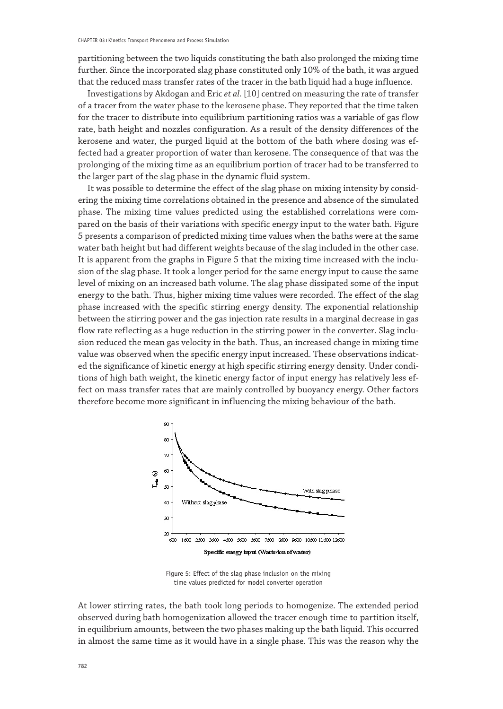partitioning between the two liquids constituting the bath also prolonged the mixing time further. Since the incorporated slag phase constituted only 10% of the bath, it was argued that the reduced mass transfer rates of the tracer in the bath liquid had a huge influence.

Investigations by Akdogan and Eric *et al.* [10] centred on measuring the rate of transfer of a tracer from the water phase to the kerosene phase. They reported that the time taken for the tracer to distribute into equilibrium partitioning ratios was a variable of gas flow rate, bath height and nozzles configuration. As a result of the density differences of the kerosene and water, the purged liquid at the bottom of the bath where dosing was effected had a greater proportion of water than kerosene. The consequence of that was the prolonging of the mixing time as an equilibrium portion of tracer had to be transferred to the larger part of the slag phase in the dynamic fluid system.

It was possible to determine the effect of the slag phase on mixing intensity by considering the mixing time correlations obtained in the presence and absence of the simulated phase. The mixing time values predicted using the established correlations were compared on the basis of their variations with specific energy input to the water bath. Figure 5 presents a comparison of predicted mixing time values when the baths were at the same water bath height but had different weights because of the slag included in the other case. It is apparent from the graphs in Figure 5 that the mixing time increased with the inclusion of the slag phase. It took a longer period for the same energy input to cause the same level of mixing on an increased bath volume. The slag phase dissipated some of the input energy to the bath. Thus, higher mixing time values were recorded. The effect of the slag phase increased with the specific stirring energy density. The exponential relationship between the stirring power and the gas injection rate results in a marginal decrease in gas flow rate reflecting as a huge reduction in the stirring power in the converter. Slag inclusion reduced the mean gas velocity in the bath. Thus, an increased change in mixing time value was observed when the specific energy input increased. These observations indicated the significance of kinetic energy at high specific stirring energy density. Under conditions of high bath weight, the kinetic energy factor of input energy has relatively less effect on mass transfer rates that are mainly controlled by buoyancy energy. Other factors therefore become more significant in influencing the mixing behaviour of the bath.



Figure 5: Effect of the slag phase inclusion on the mixing time values predicted for model converter operation

At lower stirring rates, the bath took long periods to homogenize. The extended period observed during bath homogenization allowed the tracer enough time to partition itself, in equilibrium amounts, between the two phases making up the bath liquid. This occurred in almost the same time as it would have in a single phase. This was the reason why the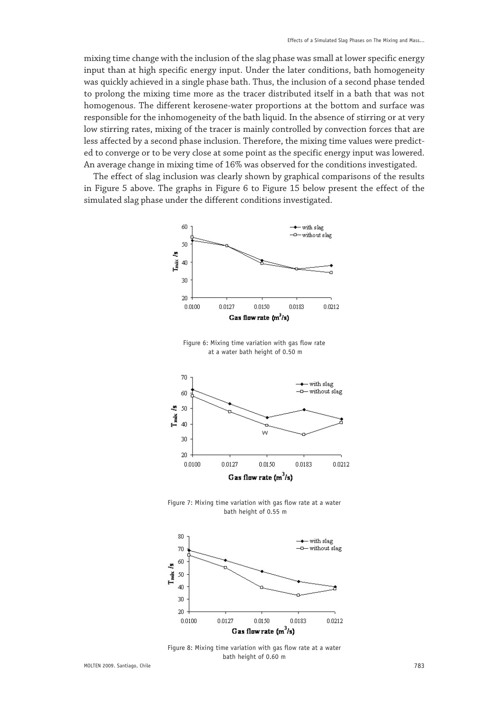mixing time change with the inclusion of the slag phase was small at lower specific energy input than at high specific energy input. Under the later conditions, bath homogeneity was quickly achieved in a single phase bath. Thus, the inclusion of a second phase tended to prolong the mixing time more as the tracer distributed itself in a bath that was not homogenous. The different kerosene-water proportions at the bottom and surface was responsible for the inhomogeneity of the bath liquid. In the absence of stirring or at very low stirring rates, mixing of the tracer is mainly controlled by convection forces that are less affected by a second phase inclusion. Therefore, the mixing time values were predicted to converge or to be very close at some point as the specific energy input was lowered. An average change in mixing time of 16% was observed for the conditions investigated.

The effect of slag inclusion was clearly shown by graphical comparisons of the results in Figure 5 above. The graphs in Figure 6 to Figure 15 below present the effect of the simulated slag phase under the different conditions investigated.



Figure 6: Mixing time variation with gas flow rate at a water bath height of 0.50 m



Figure 7: Mixing time variation with gas flow rate at a water bath height of 0.55 m



Figure 8: Mixing time variation with gas flow rate at a water bath height of 0.60 m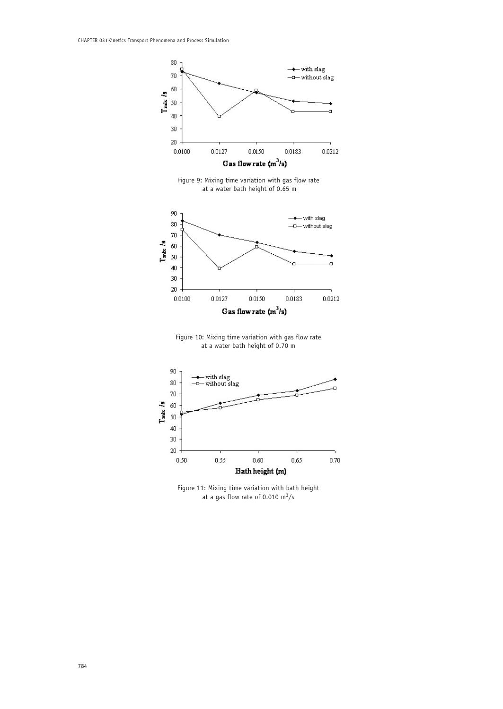

Figure 9: Mixing time variation with gas flow rate at a water bath height of 0.65 m



Figure 10: Mixing time variation with gas flow rate at a water bath height of 0.70 m



Figure 11: Mixing time variation with bath height at a gas flow rate of 0.010  $\text{m}^3/\text{s}$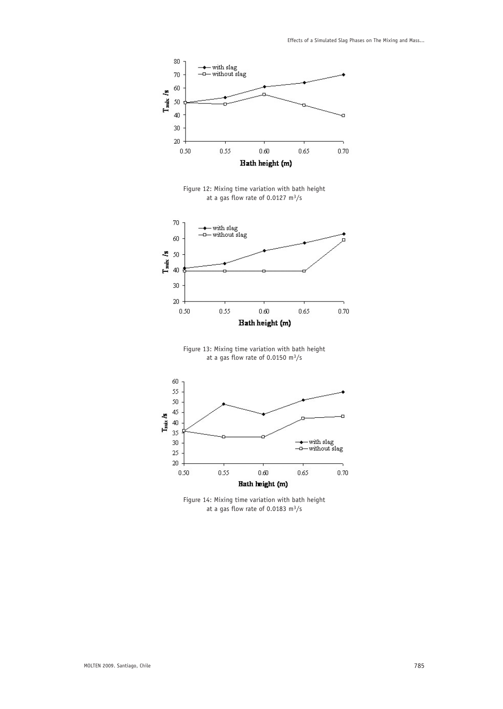

Figure 12: Mixing time variation with bath height at a gas flow rate of  $0.0127 \text{ m}^3\text{/s}$ 



Figure 13: Mixing time variation with bath height at a gas flow rate of 0.0150  $\text{m}^3/\text{s}$ 



Figure 14: Mixing time variation with bath height at a gas flow rate of 0.0183  $\text{m}^3/\text{s}$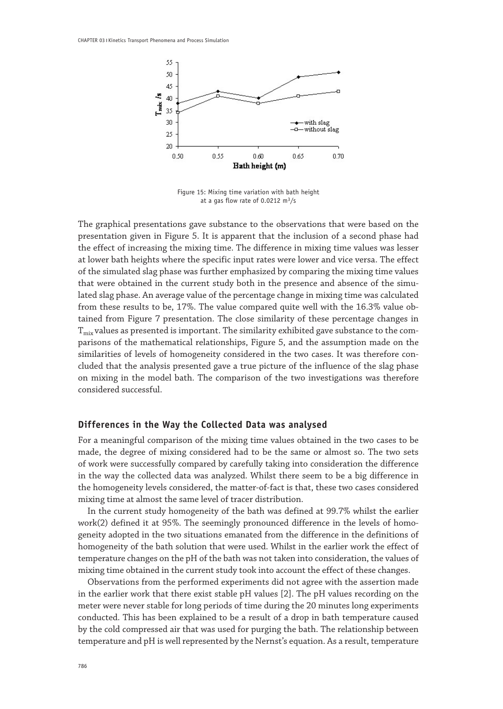

Figure 15: Mixing time variation with bath height at a gas flow rate of  $0.0212 \text{ m}^3/\text{s}$ 

The graphical presentations gave substance to the observations that were based on the presentation given in Figure 5. It is apparent that the inclusion of a second phase had the effect of increasing the mixing time. The difference in mixing time values was lesser at lower bath heights where the specific input rates were lower and vice versa. The effect of the simulated slag phase was further emphasized by comparing the mixing time values that were obtained in the current study both in the presence and absence of the simulated slag phase. An average value of the percentage change in mixing time was calculated from these results to be, 17%. The value compared quite well with the 16.3% value obtained from Figure 7 presentation. The close similarity of these percentage changes in  $T<sub>mix</sub>$  values as presented is important. The similarity exhibited gave substance to the comparisons of the mathematical relationships, Figure 5, and the assumption made on the similarities of levels of homogeneity considered in the two cases. It was therefore concluded that the analysis presented gave a true picture of the influence of the slag phase on mixing in the model bath. The comparison of the two investigations was therefore considered successful.

#### **Differences in the Way the Collected Data was analysed**

For a meaningful comparison of the mixing time values obtained in the two cases to be made, the degree of mixing considered had to be the same or almost so. The two sets of work were successfully compared by carefully taking into consideration the difference in the way the collected data was analyzed. Whilst there seem to be a big difference in the homogeneity levels considered, the matter-of-fact is that, these two cases considered mixing time at almost the same level of tracer distribution.

In the current study homogeneity of the bath was defined at 99.7% whilst the earlier work(2) defined it at 95%. The seemingly pronounced difference in the levels of homogeneity adopted in the two situations emanated from the difference in the definitions of homogeneity of the bath solution that were used. Whilst in the earlier work the effect of temperature changes on the pH of the bath was not taken into consideration, the values of mixing time obtained in the current study took into account the effect of these changes.

Observations from the performed experiments did not agree with the assertion made in the earlier work that there exist stable pH values [2]. The pH values recording on the meter were never stable for long periods of time during the 20 minutes long experiments conducted. This has been explained to be a result of a drop in bath temperature caused by the cold compressed air that was used for purging the bath. The relationship between temperature and pH is well represented by the Nernst's equation. As a result, temperature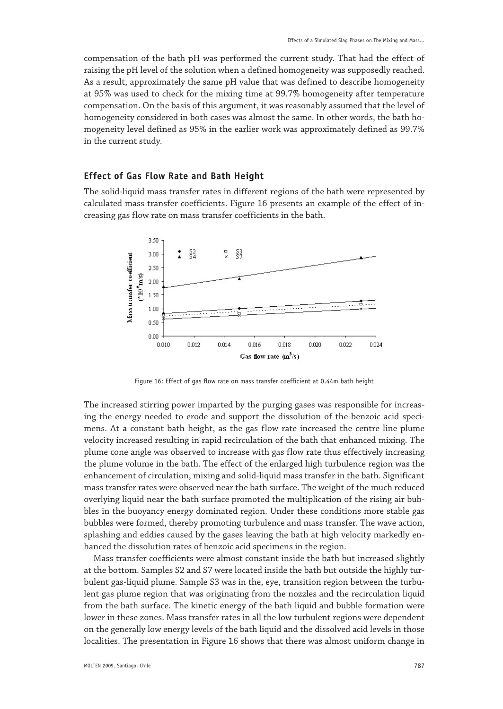compensation of the bath pH was performed the current study. That had the effect of raising the pH level of the solution when a defined homogeneity was supposedly reached. As a result, approximately the same pH value that was defined to describe homogeneity at 95% was used to check for the mixing time at 99.7% homogeneity after temperature compensation. On the basis of this argument, it was reasonably assumed that the level of homogeneity considered in both cases was almost the same. In other words, the bath homogeneity level defined as 95% in the earlier work was approximately defined as 99.7% in the current study.

#### **Effect of Gas Flow Rate and Bath Height**

The solid-liquid mass transfer rates in different regions of the bath were represented by calculated mass transfer coefficients. Figure 16 presents an example of the effect of increasing gas flow rate on mass transfer coefficients in the bath.



Figure 16: Effect of gas flow rate on mass transfer coefficient at 0.44m bath height

The increased stirring power imparted by the purging gases was responsible for increasing the energy needed to erode and support the dissolution of the benzoic acid specimens. At a constant bath height, as the gas flow rate increased the centre line plume velocity increased resulting in rapid recirculation of the bath that enhanced mixing. The plume cone angle was observed to increase with gas flow rate thus effectively increasing the plume volume in the bath. The effect of the enlarged high turbulence region was the enhancement of circulation, mixing and solid-liquid mass transfer in the bath. Significant mass transfer rates were observed near the bath surface. The weight of the much reduced overlying liquid near the bath surface promoted the multiplication of the rising air bubbles in the buoyancy energy dominated region. Under these conditions more stable gas bubbles were formed, thereby promoting turbulence and mass transfer. The wave action, splashing and eddies caused by the gases leaving the bath at high velocity markedly enhanced the dissolution rates of benzoic acid specimens in the region.

Mass transfer coefficients were almost constant inside the bath but increased slightly at the bottom. Samples S2 and S7 were located inside the bath but outside the highly turbulent gas-liquid plume. Sample S3 was in the, eye, transition region between the turbulent gas plume region that was originating from the nozzles and the recirculation liquid from the bath surface. The kinetic energy of the bath liquid and bubble formation were lower in these zones. Mass transfer rates in all the low turbulent regions were dependent on the generally low energy levels of the bath liquid and the dissolved acid levels in those localities. The presentation in Figure 16 shows that there was almost uniform change in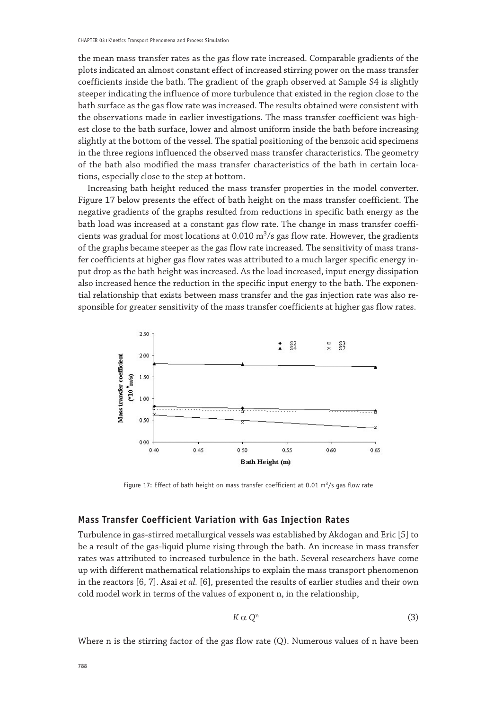the mean mass transfer rates as the gas flow rate increased. Comparable gradients of the plots indicated an almost constant effect of increased stirring power on the mass transfer coefficients inside the bath. The gradient of the graph observed at Sample S4 is slightly steeper indicating the influence of more turbulence that existed in the region close to the bath surface as the gas flow rate was increased. The results obtained were consistent with the observations made in earlier investigations. The mass transfer coefficient was highest close to the bath surface, lower and almost uniform inside the bath before increasing slightly at the bottom of the vessel. The spatial positioning of the benzoic acid specimens in the three regions influenced the observed mass transfer characteristics. The geometry of the bath also modified the mass transfer characteristics of the bath in certain locations, especially close to the step at bottom.

Increasing bath height reduced the mass transfer properties in the model converter. Figure 17 below presents the effect of bath height on the mass transfer coefficient. The negative gradients of the graphs resulted from reductions in specific bath energy as the bath load was increased at a constant gas flow rate. The change in mass transfer coefficients was gradual for most locations at  $0.010 \text{ m}^3/\text{s}$  gas flow rate. However, the gradients of the graphs became steeper as the gas flow rate increased. The sensitivity of mass transfer coefficients at higher gas flow rates was attributed to a much larger specific energy input drop as the bath height was increased. As the load increased, input energy dissipation also increased hence the reduction in the specific input energy to the bath. The exponential relationship that exists between mass transfer and the gas injection rate was also responsible for greater sensitivity of the mass transfer coefficients at higher gas flow rates.



Figure 17: Effect of bath height on mass transfer coefficient at 0.01  $\mathrm{m}^3$ /s gas flow rate

#### **Mass Transfer Coefficient Variation with Gas Injection Rates**

Turbulence in gas-stirred metallurgical vessels was established by Akdogan and Eric [5] to be a result of the gas-liquid plume rising through the bath. An increase in mass transfer rates was attributed to increased turbulence in the bath. Several researchers have come up with different mathematical relationships to explain the mass transport phenomenon in the reactors [6, 7]. Asai *et al.* [6], presented the results of earlier studies and their own cold model work in terms of the values of exponent n, in the relationship,

$$
K \alpha \ Q^{n} \tag{3}
$$

Where n is the stirring factor of the gas flow rate (Q). Numerous values of n have been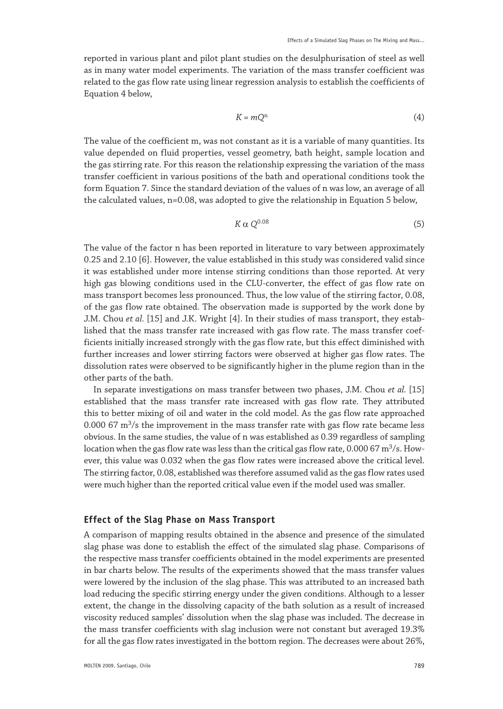reported in various plant and pilot plant studies on the desulphurisation of steel as well as in many water model experiments. The variation of the mass transfer coefficient was related to the gas flow rate using linear regression analysis to establish the coefficients of Equation 4 below,

$$
K = mQ^n \tag{4}
$$

The value of the coefficient m, was not constant as it is a variable of many quantities. Its value depended on fluid properties, vessel geometry, bath height, sample location and the gas stirring rate. For this reason the relationship expressing the variation of the mass transfer coefficient in various positions of the bath and operational conditions took the form Equation 7. Since the standard deviation of the values of n was low, an average of all the calculated values, n=0.08, was adopted to give the relationship in Equation 5 below,

$$
K \alpha Q^{0.08} \tag{5}
$$

The value of the factor n has been reported in literature to vary between approximately 0.25 and 2.10 [6]. However, the value established in this study was considered valid since it was established under more intense stirring conditions than those reported. At very high gas blowing conditions used in the CLU-converter, the effect of gas flow rate on mass transport becomes less pronounced. Thus, the low value of the stirring factor, 0.08, of the gas flow rate obtained. The observation made is supported by the work done by J.M. Chou *et al.* [15] and J.K. Wright [4]. In their studies of mass transport, they established that the mass transfer rate increased with gas flow rate. The mass transfer coefficients initially increased strongly with the gas flow rate, but this effect diminished with further increases and lower stirring factors were observed at higher gas flow rates. The dissolution rates were observed to be significantly higher in the plume region than in the other parts of the bath.

In separate investigations on mass transfer between two phases, J.M. Chou *et al.* [15] established that the mass transfer rate increased with gas flow rate. They attributed this to better mixing of oil and water in the cold model. As the gas flow rate approached 0.000 67  $\text{m}^3$ /s the improvement in the mass transfer rate with gas flow rate became less obvious. In the same studies, the value of n was established as 0.39 regardless of sampling location when the gas flow rate was less than the critical gas flow rate,  $0.00067 \text{ m}^3/\text{s}$ . However, this value was 0.032 when the gas flow rates were increased above the critical level. The stirring factor, 0.08, established was therefore assumed valid as the gas flow rates used were much higher than the reported critical value even if the model used was smaller.

#### **Effect of the Slag Phase on Mass Transport**

A comparison of mapping results obtained in the absence and presence of the simulated slag phase was done to establish the effect of the simulated slag phase. Comparisons of the respective mass transfer coefficients obtained in the model experiments are presented in bar charts below. The results of the experiments showed that the mass transfer values were lowered by the inclusion of the slag phase. This was attributed to an increased bath load reducing the specific stirring energy under the given conditions. Although to a lesser extent, the change in the dissolving capacity of the bath solution as a result of increased viscosity reduced samples' dissolution when the slag phase was included. The decrease in the mass transfer coefficients with slag inclusion were not constant but averaged 19.3% for all the gas flow rates investigated in the bottom region. The decreases were about 26%,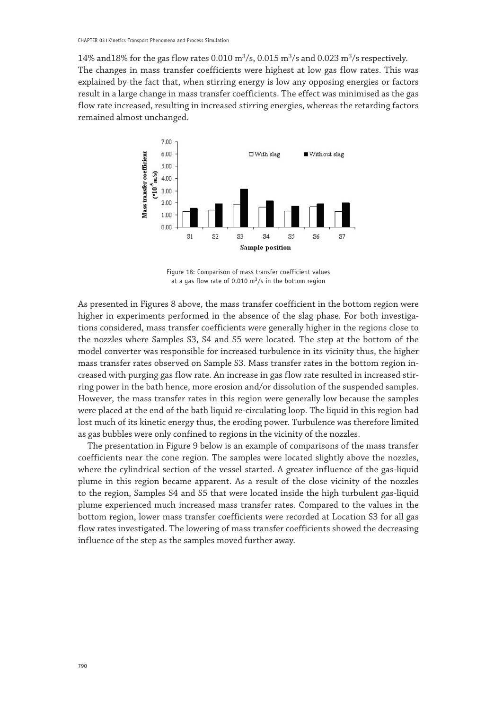14% and 18% for the gas flow rates 0.010  $\mathrm{m}^3/\mathrm{s}$ , 0.015  $\mathrm{m}^3/\mathrm{s}$  and 0.023  $\mathrm{m}^3/\mathrm{s}$  respectively. The changes in mass transfer coefficients were highest at low gas flow rates. This was explained by the fact that, when stirring energy is low any opposing energies or factors result in a large change in mass transfer coefficients. The effect was minimised as the gas flow rate increased, resulting in increased stirring energies, whereas the retarding factors remained almost unchanged.



Figure 18: Comparison of mass transfer coefficient values at a gas flow rate of 0.010  $\text{m}^3/\text{s}$  in the bottom region

As presented in Figures 8 above, the mass transfer coefficient in the bottom region were higher in experiments performed in the absence of the slag phase. For both investigations considered, mass transfer coefficients were generally higher in the regions close to the nozzles where Samples S3, S4 and S5 were located. The step at the bottom of the model converter was responsible for increased turbulence in its vicinity thus, the higher mass transfer rates observed on Sample S3. Mass transfer rates in the bottom region increased with purging gas flow rate. An increase in gas flow rate resulted in increased stirring power in the bath hence, more erosion and/or dissolution of the suspended samples. However, the mass transfer rates in this region were generally low because the samples were placed at the end of the bath liquid re-circulating loop. The liquid in this region had lost much of its kinetic energy thus, the eroding power. Turbulence was therefore limited as gas bubbles were only confined to regions in the vicinity of the nozzles.

The presentation in Figure 9 below is an example of comparisons of the mass transfer coefficients near the cone region. The samples were located slightly above the nozzles, where the cylindrical section of the vessel started. A greater influence of the gas-liquid plume in this region became apparent. As a result of the close vicinity of the nozzles to the region, Samples S4 and S5 that were located inside the high turbulent gas-liquid plume experienced much increased mass transfer rates. Compared to the values in the bottom region, lower mass transfer coefficients were recorded at Location S3 for all gas flow rates investigated. The lowering of mass transfer coefficients showed the decreasing influence of the step as the samples moved further away.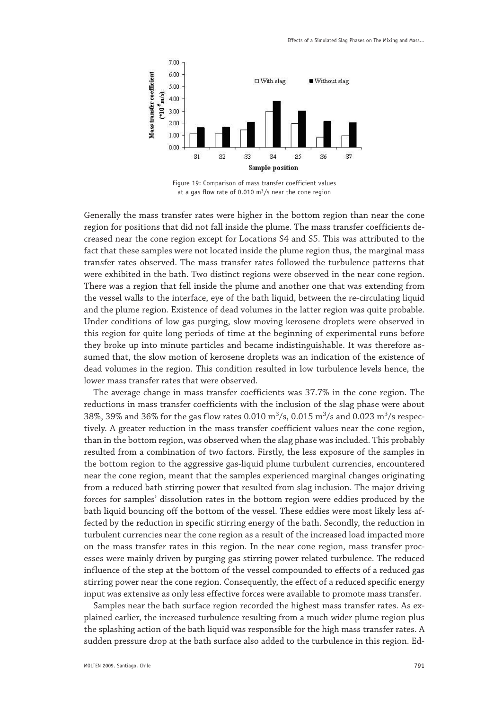

Figure 19: Comparison of mass transfer coefficient values at a gas flow rate of 0.010  $\text{m}^3/\text{s}$  near the cone region

Generally the mass transfer rates were higher in the bottom region than near the cone region for positions that did not fall inside the plume. The mass transfer coefficients decreased near the cone region except for Locations S4 and S5. This was attributed to the fact that these samples were not located inside the plume region thus, the marginal mass transfer rates observed. The mass transfer rates followed the turbulence patterns that were exhibited in the bath. Two distinct regions were observed in the near cone region. There was a region that fell inside the plume and another one that was extending from the vessel walls to the interface, eye of the bath liquid, between the re-circulating liquid and the plume region. Existence of dead volumes in the latter region was quite probable. Under conditions of low gas purging, slow moving kerosene droplets were observed in this region for quite long periods of time at the beginning of experimental runs before they broke up into minute particles and became indistinguishable. It was therefore assumed that, the slow motion of kerosene droplets was an indication of the existence of dead volumes in the region. This condition resulted in low turbulence levels hence, the lower mass transfer rates that were observed.

The average change in mass transfer coefficients was 37.7% in the cone region. The reductions in mass transfer coefficients with the inclusion of the slag phase were about 38%, 39% and 36% for the gas flow rates 0.010  $\rm m^3/s$ , 0.015  $\rm m^3/s$  and 0.023  $\rm m^3/s$  respectively. A greater reduction in the mass transfer coefficient values near the cone region, than in the bottom region, was observed when the slag phase was included. This probably resulted from a combination of two factors. Firstly, the less exposure of the samples in the bottom region to the aggressive gas-liquid plume turbulent currencies, encountered near the cone region, meant that the samples experienced marginal changes originating from a reduced bath stirring power that resulted from slag inclusion. The major driving forces for samples' dissolution rates in the bottom region were eddies produced by the bath liquid bouncing off the bottom of the vessel. These eddies were most likely less affected by the reduction in specific stirring energy of the bath. Secondly, the reduction in turbulent currencies near the cone region as a result of the increased load impacted more on the mass transfer rates in this region. In the near cone region, mass transfer processes were mainly driven by purging gas stirring power related turbulence. The reduced influence of the step at the bottom of the vessel compounded to effects of a reduced gas stirring power near the cone region. Consequently, the effect of a reduced specific energy input was extensive as only less effective forces were available to promote mass transfer.

Samples near the bath surface region recorded the highest mass transfer rates. As explained earlier, the increased turbulence resulting from a much wider plume region plus the splashing action of the bath liquid was responsible for the high mass transfer rates. A sudden pressure drop at the bath surface also added to the turbulence in this region. Ed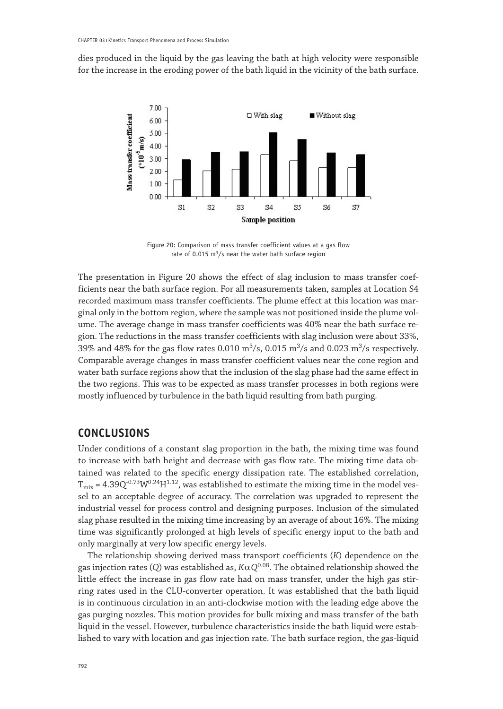dies produced in the liquid by the gas leaving the bath at high velocity were responsible for the increase in the eroding power of the bath liquid in the vicinity of the bath surface.



Figure 20: Comparison of mass transfer coefficient values at a gas flow rate of 0.015  $m^3/s$  near the water bath surface region

The presentation in Figure 20 shows the effect of slag inclusion to mass transfer coefficients near the bath surface region. For all measurements taken, samples at Location S4 recorded maximum mass transfer coefficients. The plume effect at this location was marginal only in the bottom region, where the sample was not positioned inside the plume volume. The average change in mass transfer coefficients was 40% near the bath surface region. The reductions in the mass transfer coefficients with slag inclusion were about 33%, 39% and 48% for the gas flow rates 0.010  $\mathrm{m}^3/\mathrm{s}$ , 0.015  $\mathrm{m}^3/\mathrm{s}$  and 0.023  $\mathrm{m}^3/\mathrm{s}$  respectively. Comparable average changes in mass transfer coefficient values near the cone region and water bath surface regions show that the inclusion of the slag phase had the same effect in the two regions. This was to be expected as mass transfer processes in both regions were mostly influenced by turbulence in the bath liquid resulting from bath purging.

## **CONCLUSIONS**

Under conditions of a constant slag proportion in the bath, the mixing time was found to increase with bath height and decrease with gas flow rate. The mixing time data obtained was related to the specific energy dissipation rate. The established correlation,  $T_{mix}$  = 4.39Q<sup>-0.73</sup>W<sup>0.24</sup>H<sup>1.12</sup>, was established to estimate the mixing time in the model vessel to an acceptable degree of accuracy. The correlation was upgraded to represent the industrial vessel for process control and designing purposes. Inclusion of the simulated slag phase resulted in the mixing time increasing by an average of about 16%. The mixing time was significantly prolonged at high levels of specific energy input to the bath and only marginally at very low specific energy levels.

The relationship showing derived mass transport coefficients (*K*) dependence on the gas injection rates (*Q*) was established as, *K* α *Q*0.08. The obtained relationship showed the little effect the increase in gas flow rate had on mass transfer, under the high gas stirring rates used in the CLU-converter operation. It was established that the bath liquid is in continuous circulation in an anti-clockwise motion with the leading edge above the gas purging nozzles. This motion provides for bulk mixing and mass transfer of the bath liquid in the vessel. However, turbulence characteristics inside the bath liquid were established to vary with location and gas injection rate. The bath surface region, the gas-liquid